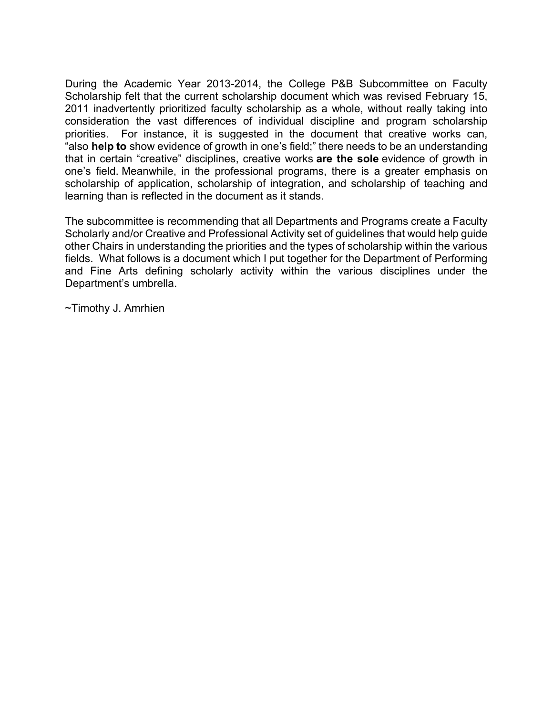During the Academic Year 2013-2014, the College P&B Subcommittee on Faculty Scholarship felt that the current scholarship document which was revised February 15, 2011 inadvertently prioritized faculty scholarship as a whole, without really taking into consideration the vast differences of individual discipline and program scholarship priorities. For instance, it is suggested in the document that creative works can, "also **help to** show evidence of growth in one's field;" there needs to be an understanding that in certain "creative" disciplines, creative works **are the sole** evidence of growth in one's field. Meanwhile, in the professional programs, there is a greater emphasis on scholarship of application, scholarship of integration, and scholarship of teaching and learning than is reflected in the document as it stands.

The subcommittee is recommending that all Departments and Programs create a Faculty Scholarly and/or Creative and Professional Activity set of guidelines that would help guide other Chairs in understanding the priorities and the types of scholarship within the various fields. What follows is a document which I put together for the Department of Performing and Fine Arts defining scholarly activity within the various disciplines under the Department's umbrella.

~Timothy J. Amrhien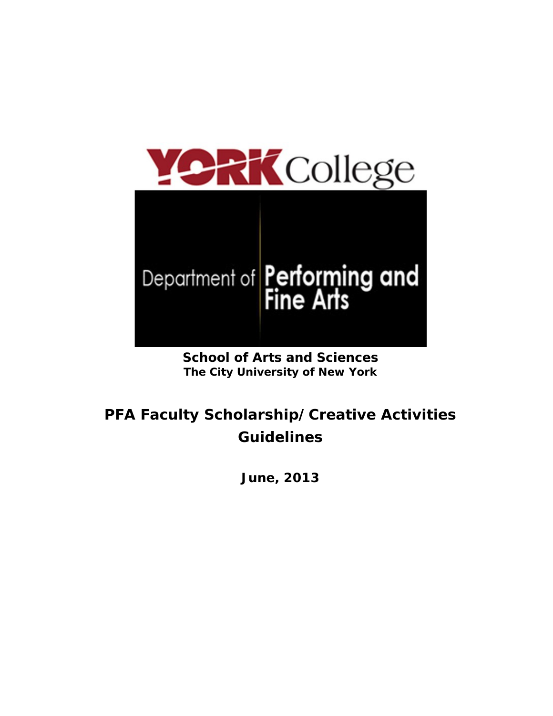

# *School of Arts and Sciences* **The City University of New York**

# **PFA Faculty Scholarship/Creative Activities Guidelines**

**June, 2013**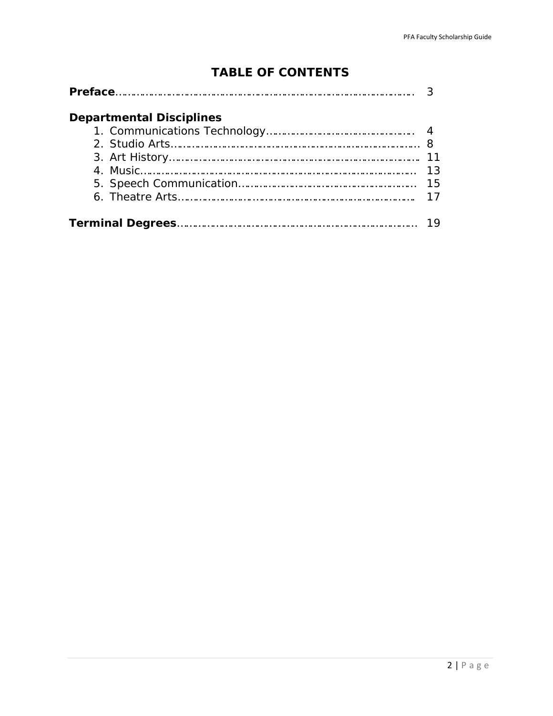# **TABLE OF CONTENTS**

| <b>Departmental Disciplines</b> |    |
|---------------------------------|----|
|                                 |    |
|                                 |    |
|                                 |    |
|                                 | 13 |
|                                 | 15 |
|                                 | 17 |
|                                 | 19 |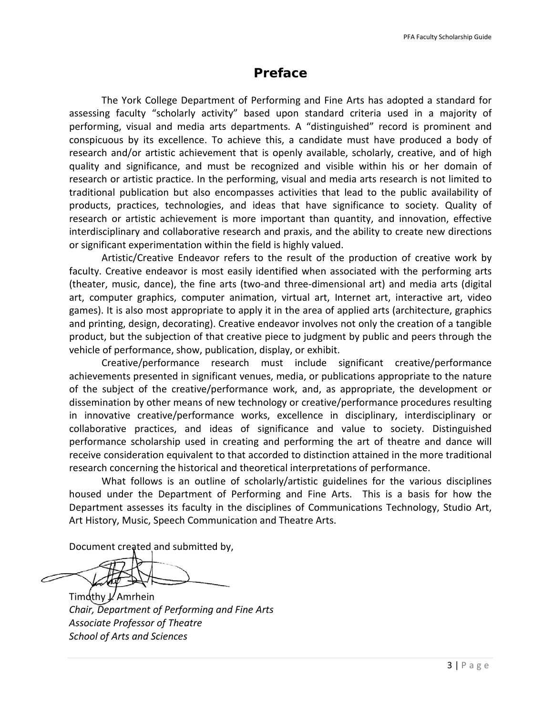# **Preface**

The York College Department of Performing and Fine Arts has adopted a standard for assessing faculty "scholarly activity" based upon standard criteria used in a majority of performing, visual and media arts departments. A "distinguished" record is prominent and conspicuous by its excellence. To achieve this, a candidate must have produced a body of research and/or artistic achievement that is openly available, scholarly, creative, and of high quality and significance, and must be recognized and visible within his or her domain of research or artistic practice. In the performing, visual and media arts research is not limited to traditional publication but also encompasses activities that lead to the public availability of products, practices, technologies, and ideas that have significance to society. Quality of research or artistic achievement is more important than quantity, and innovation, effective interdisciplinary and collaborative research and praxis, and the ability to create new directions or significant experimentation within the field is highly valued.

Artistic/Creative Endeavor refers to the result of the production of creative work by faculty. Creative endeavor is most easily identified when associated with the performing arts (theater, music, dance), the fine arts (two-and three-dimensional art) and media arts (digital art, computer graphics, computer animation, virtual art, Internet art, interactive art, video games). It is also most appropriate to apply it in the area of applied arts (architecture, graphics and printing, design, decorating). Creative endeavor involves not only the creation of a tangible product, but the subjection of that creative piece to judgment by public and peers through the vehicle of performance, show, publication, display, or exhibit.

Creative/performance research must include significant creative/performance achievements presented in significant venues, media, or publications appropriate to the nature of the subject of the creative/performance work, and, as appropriate, the development or dissemination by other means of new technology or creative/performance procedures resulting in innovative creative/performance works, excellence in disciplinary, interdisciplinary or collaborative practices, and ideas of significance and value to society. Distinguished performance scholarship used in creating and performing the art of theatre and dance will receive consideration equivalent to that accorded to distinction attained in the more traditional research concerning the historical and theoretical interpretations of performance.

What follows is an outline of scholarly/artistic guidelines for the various disciplines housed under the Department of Performing and Fine Arts. This is a basis for how the Department assesses its faculty in the disciplines of Communications Technology, Studio Art, Art History, Music, Speech Communication and Theatre Arts.

Document created and submitted by,

Timothy J. Amrhein *Chair, Department of Performing and Fine Arts Associate Professor of Theatre School of Arts and Sciences*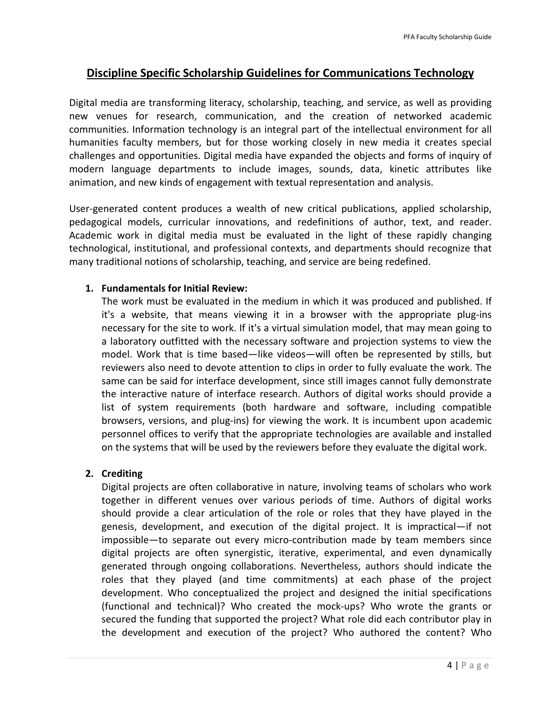# **Discipline Specific Scholarship Guidelines for Communications Technology**

Digital media are transforming literacy, scholarship, teaching, and service, as well as providing new venues for research, communication, and the creation of networked academic communities. Information technology is an integral part of the intellectual environment for all humanities faculty members, but for those working closely in new media it creates special challenges and opportunities. Digital media have expanded the objects and forms of inquiry of modern language departments to include images, sounds, data, kinetic attributes like animation, and new kinds of engagement with textual representation and analysis.

User-generated content produces a wealth of new critical publications, applied scholarship, pedagogical models, curricular innovations, and redefinitions of author, text, and reader. Academic work in digital media must be evaluated in the light of these rapidly changing technological, institutional, and professional contexts, and departments should recognize that many traditional notions of scholarship, teaching, and service are being redefined.

#### **1. Fundamentals for Initial Review:**

The work must be evaluated in the medium in which it was produced and published. If it's a website, that means viewing it in a browser with the appropriate plug-ins necessary for the site to work. If it's a virtual simulation model, that may mean going to a laboratory outfitted with the necessary software and projection systems to view the model. Work that is time based—like videos—will often be represented by stills, but reviewers also need to devote attention to clips in order to fully evaluate the work. The same can be said for interface development, since still images cannot fully demonstrate the interactive nature of interface research. Authors of digital works should provide a list of system requirements (both hardware and software, including compatible browsers, versions, and plug-ins) for viewing the work. It is incumbent upon academic personnel offices to verify that the appropriate technologies are available and installed on the systems that will be used by the reviewers before they evaluate the digital work.

#### **2. Crediting**

Digital projects are often collaborative in nature, involving teams of scholars who work together in different venues over various periods of time. Authors of digital works should provide a clear articulation of the role or roles that they have played in the genesis, development, and execution of the digital project. It is impractical—if not impossible—to separate out every micro-contribution made by team members since digital projects are often synergistic, iterative, experimental, and even dynamically generated through ongoing collaborations. Nevertheless, authors should indicate the roles that they played (and time commitments) at each phase of the project development. Who conceptualized the project and designed the initial specifications (functional and technical)? Who created the mock-ups? Who wrote the grants or secured the funding that supported the project? What role did each contributor play in the development and execution of the project? Who authored the content? Who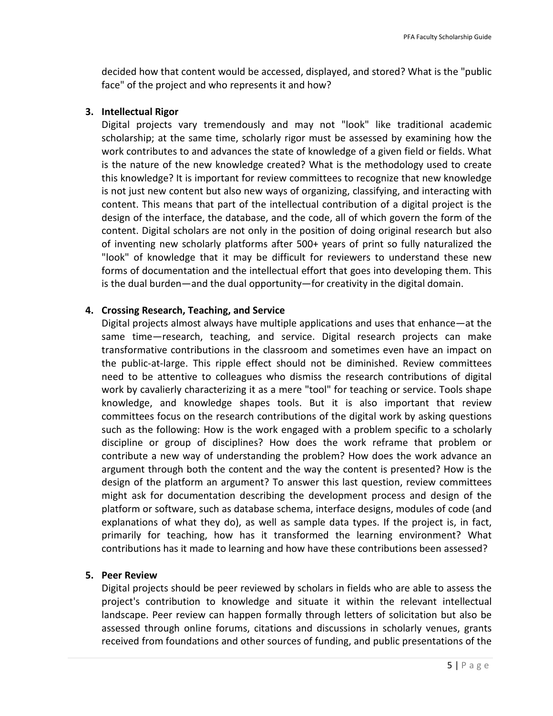decided how that content would be accessed, displayed, and stored? What is the "public face" of the project and who represents it and how?

#### **3. Intellectual Rigor**

Digital projects vary tremendously and may not "look" like traditional academic scholarship; at the same time, scholarly rigor must be assessed by examining how the work contributes to and advances the state of knowledge of a given field or fields. What is the nature of the new knowledge created? What is the methodology used to create this knowledge? It is important for review committees to recognize that new knowledge is not just new content but also new ways of organizing, classifying, and interacting with content. This means that part of the intellectual contribution of a digital project is the design of the interface, the database, and the code, all of which govern the form of the content. Digital scholars are not only in the position of doing original research but also of inventing new scholarly platforms after 500+ years of print so fully naturalized the "look" of knowledge that it may be difficult for reviewers to understand these new forms of documentation and the intellectual effort that goes into developing them. This is the dual burden—and the dual opportunity—for creativity in the digital domain.

#### **4. Crossing Research, Teaching, and Service**

Digital projects almost always have multiple applications and uses that enhance—at the same time—research, teaching, and service. Digital research projects can make transformative contributions in the classroom and sometimes even have an impact on the public-at-large. This ripple effect should not be diminished. Review committees need to be attentive to colleagues who dismiss the research contributions of digital work by cavalierly characterizing it as a mere "tool" for teaching or service. Tools shape knowledge, and knowledge shapes tools. But it is also important that review committees focus on the research contributions of the digital work by asking questions such as the following: How is the work engaged with a problem specific to a scholarly discipline or group of disciplines? How does the work reframe that problem or contribute a new way of understanding the problem? How does the work advance an argument through both the content and the way the content is presented? How is the design of the platform an argument? To answer this last question, review committees might ask for documentation describing the development process and design of the platform or software, such as database schema, interface designs, modules of code (and explanations of what they do), as well as sample data types. If the project is, in fact, primarily for teaching, how has it transformed the learning environment? What contributions has it made to learning and how have these contributions been assessed?

#### **5. Peer Review**

Digital projects should be peer reviewed by scholars in fields who are able to assess the project's contribution to knowledge and situate it within the relevant intellectual landscape. Peer review can happen formally through letters of solicitation but also be assessed through online forums, citations and discussions in scholarly venues, grants received from foundations and other sources of funding, and public presentations of the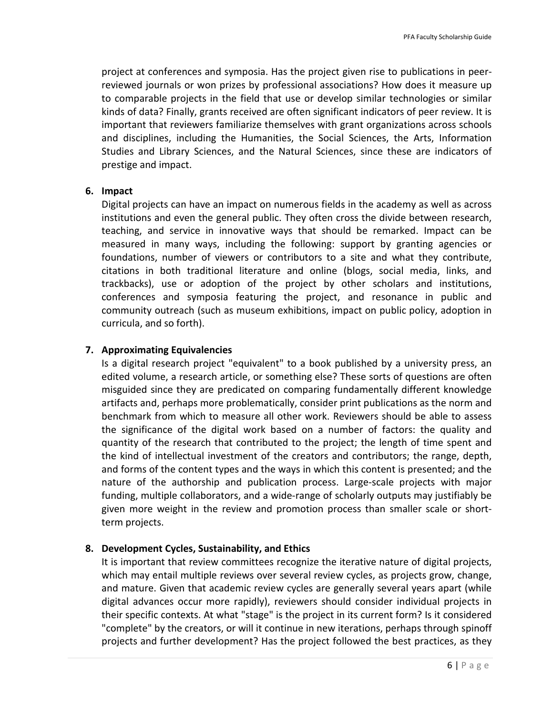project at conferences and symposia. Has the project given rise to publications in peerreviewed journals or won prizes by professional associations? How does it measure up to comparable projects in the field that use or develop similar technologies or similar kinds of data? Finally, grants received are often significant indicators of peer review. It is important that reviewers familiarize themselves with grant organizations across schools and disciplines, including the Humanities, the Social Sciences, the Arts, Information Studies and Library Sciences, and the Natural Sciences, since these are indicators of prestige and impact.

#### **6. Impact**

Digital projects can have an impact on numerous fields in the academy as well as across institutions and even the general public. They often cross the divide between research, teaching, and service in innovative ways that should be remarked. Impact can be measured in many ways, including the following: support by granting agencies or foundations, number of viewers or contributors to a site and what they contribute, citations in both traditional literature and online (blogs, social media, links, and trackbacks), use or adoption of the project by other scholars and institutions, conferences and symposia featuring the project, and resonance in public and community outreach (such as museum exhibitions, impact on public policy, adoption in curricula, and so forth).

#### **7. Approximating Equivalencies**

Is a digital research project "equivalent" to a book published by a university press, an edited volume, a research article, or something else? These sorts of questions are often misguided since they are predicated on comparing fundamentally different knowledge artifacts and, perhaps more problematically, consider print publications as the norm and benchmark from which to measure all other work. Reviewers should be able to assess the significance of the digital work based on a number of factors: the quality and quantity of the research that contributed to the project; the length of time spent and the kind of intellectual investment of the creators and contributors; the range, depth, and forms of the content types and the ways in which this content is presented; and the nature of the authorship and publication process. Large-scale projects with major funding, multiple collaborators, and a wide-range of scholarly outputs may justifiably be given more weight in the review and promotion process than smaller scale or shortterm projects.

#### **8. Development Cycles, Sustainability, and Ethics**

It is important that review committees recognize the iterative nature of digital projects, which may entail multiple reviews over several review cycles, as projects grow, change, and mature. Given that academic review cycles are generally several years apart (while digital advances occur more rapidly), reviewers should consider individual projects in their specific contexts. At what "stage" is the project in its current form? Is it considered "complete" by the creators, or will it continue in new iterations, perhaps through spinoff projects and further development? Has the project followed the best practices, as they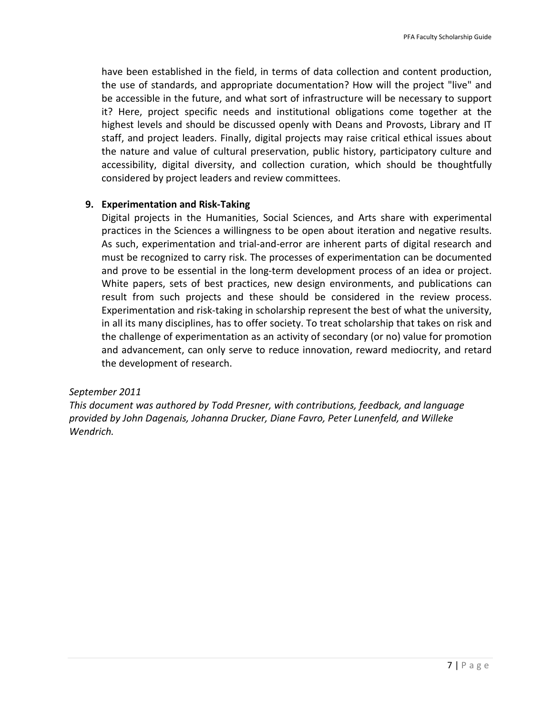have been established in the field, in terms of data collection and content production, the use of standards, and appropriate documentation? How will the project "live" and be accessible in the future, and what sort of infrastructure will be necessary to support it? Here, project specific needs and institutional obligations come together at the highest levels and should be discussed openly with Deans and Provosts, Library and IT staff, and project leaders. Finally, digital projects may raise critical ethical issues about the nature and value of cultural preservation, public history, participatory culture and accessibility, digital diversity, and collection curation, which should be thoughtfully considered by project leaders and review committees.

#### **9. Experimentation and Risk-Taking**

Digital projects in the Humanities, Social Sciences, and Arts share with experimental practices in the Sciences a willingness to be open about iteration and negative results. As such, experimentation and trial-and-error are inherent parts of digital research and must be recognized to carry risk. The processes of experimentation can be documented and prove to be essential in the long-term development process of an idea or project. White papers, sets of best practices, new design environments, and publications can result from such projects and these should be considered in the review process. Experimentation and risk-taking in scholarship represent the best of what the university, in all its many disciplines, has to offer society. To treat scholarship that takes on risk and the challenge of experimentation as an activity of secondary (or no) value for promotion and advancement, can only serve to reduce innovation, reward mediocrity, and retard the development of research.

#### *September 2011*

*This document was authored by Todd Presner, with contributions, feedback, and language provided by John Dagenais, Johanna Drucker, Diane Favro, Peter Lunenfeld, and Willeke Wendrich.*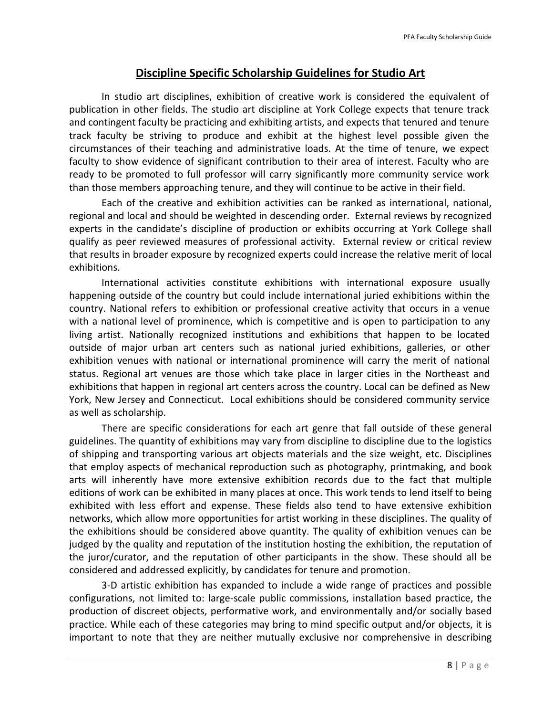### **Discipline Specific Scholarship Guidelines for Studio Art**

In studio art disciplines, exhibition of creative work is considered the equivalent of publication in other fields. The studio art discipline at York College expects that tenure track and contingent faculty be practicing and exhibiting artists, and expects that tenured and tenure track faculty be striving to produce and exhibit at the highest level possible given the circumstances of their teaching and administrative loads. At the time of tenure, we expect faculty to show evidence of significant contribution to their area of interest. Faculty who are ready to be promoted to full professor will carry significantly more community service work than those members approaching tenure, and they will continue to be active in their field.

Each of the creative and exhibition activities can be ranked as international, national, regional and local and should be weighted in descending order. External reviews by recognized experts in the candidate's discipline of production or exhibits occurring at York College shall qualify as peer reviewed measures of professional activity. External review or critical review that results in broader exposure by recognized experts could increase the relative merit of local exhibitions.

International activities constitute exhibitions with international exposure usually happening outside of the country but could include international juried exhibitions within the country. National refers to exhibition or professional creative activity that occurs in a venue with a national level of prominence, which is competitive and is open to participation to any living artist. Nationally recognized institutions and exhibitions that happen to be located outside of major urban art centers such as national juried exhibitions, galleries, or other exhibition venues with national or international prominence will carry the merit of national status. Regional art venues are those which take place in larger cities in the Northeast and exhibitions that happen in regional art centers across the country. Local can be defined as New York, New Jersey and Connecticut. Local exhibitions should be considered community service as well as scholarship.

There are specific considerations for each art genre that fall outside of these general guidelines. The quantity of exhibitions may vary from discipline to discipline due to the logistics of shipping and transporting various art objects materials and the size weight, etc. Disciplines that employ aspects of mechanical reproduction such as photography, printmaking, and book arts will inherently have more extensive exhibition records due to the fact that multiple editions of work can be exhibited in many places at once. This work tends to lend itself to being exhibited with less effort and expense. These fields also tend to have extensive exhibition networks, which allow more opportunities for artist working in these disciplines. The quality of the exhibitions should be considered above quantity. The quality of exhibition venues can be judged by the quality and reputation of the institution hosting the exhibition, the reputation of the juror/curator, and the reputation of other participants in the show. These should all be considered and addressed explicitly, by candidates for tenure and promotion.

3-D artistic exhibition has expanded to include a wide range of practices and possible configurations, not limited to: large-scale public commissions, installation based practice, the production of discreet objects, performative work, and environmentally and/or socially based practice. While each of these categories may bring to mind specific output and/or objects, it is important to note that they are neither mutually exclusive nor comprehensive in describing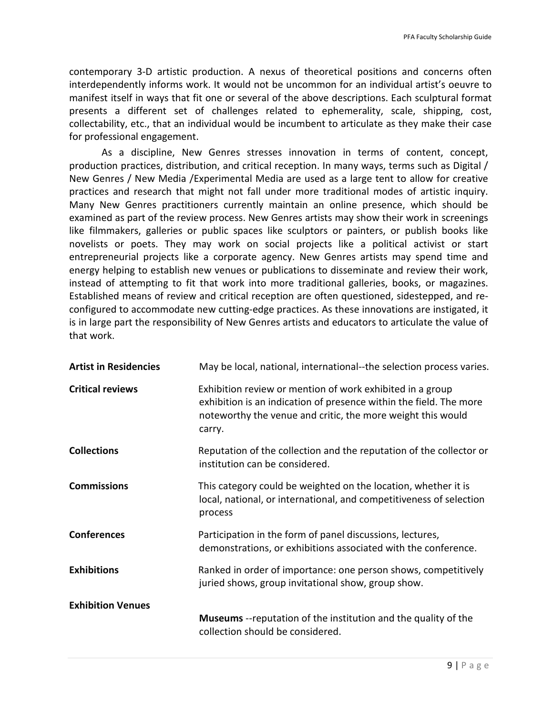contemporary 3-D artistic production. A nexus of theoretical positions and concerns often interdependently informs work. It would not be uncommon for an individual artist's oeuvre to manifest itself in ways that fit one or several of the above descriptions. Each sculptural format presents a different set of challenges related to ephemerality, scale, shipping, cost, collectability, etc., that an individual would be incumbent to articulate as they make their case for professional engagement.

As a discipline, New Genres stresses innovation in terms of content, concept, production practices, distribution, and critical reception. In many ways, terms such as Digital / New Genres / New Media /Experimental Media are used as a large tent to allow for creative practices and research that might not fall under more traditional modes of artistic inquiry. Many New Genres practitioners currently maintain an online presence, which should be examined as part of the review process. New Genres artists may show their work in screenings like filmmakers, galleries or public spaces like sculptors or painters, or publish books like novelists or poets. They may work on social projects like a political activist or start entrepreneurial projects like a corporate agency. New Genres artists may spend time and energy helping to establish new venues or publications to disseminate and review their work, instead of attempting to fit that work into more traditional galleries, books, or magazines. Established means of review and critical reception are often questioned, sidestepped, and reconfigured to accommodate new cutting-edge practices. As these innovations are instigated, it is in large part the responsibility of New Genres artists and educators to articulate the value of that work.

| <b>Artist in Residencies</b> | May be local, national, international--the selection process varies.                                                                                                                                     |
|------------------------------|----------------------------------------------------------------------------------------------------------------------------------------------------------------------------------------------------------|
| <b>Critical reviews</b>      | Exhibition review or mention of work exhibited in a group<br>exhibition is an indication of presence within the field. The more<br>noteworthy the venue and critic, the more weight this would<br>carry. |
| <b>Collections</b>           | Reputation of the collection and the reputation of the collector or<br>institution can be considered.                                                                                                    |
| <b>Commissions</b>           | This category could be weighted on the location, whether it is<br>local, national, or international, and competitiveness of selection<br>process                                                         |
| <b>Conferences</b>           | Participation in the form of panel discussions, lectures,<br>demonstrations, or exhibitions associated with the conference.                                                                              |
| <b>Exhibitions</b>           | Ranked in order of importance: one person shows, competitively<br>juried shows, group invitational show, group show.                                                                                     |
| <b>Exhibition Venues</b>     |                                                                                                                                                                                                          |
|                              | <b>Museums</b> --reputation of the institution and the quality of the<br>collection should be considered.                                                                                                |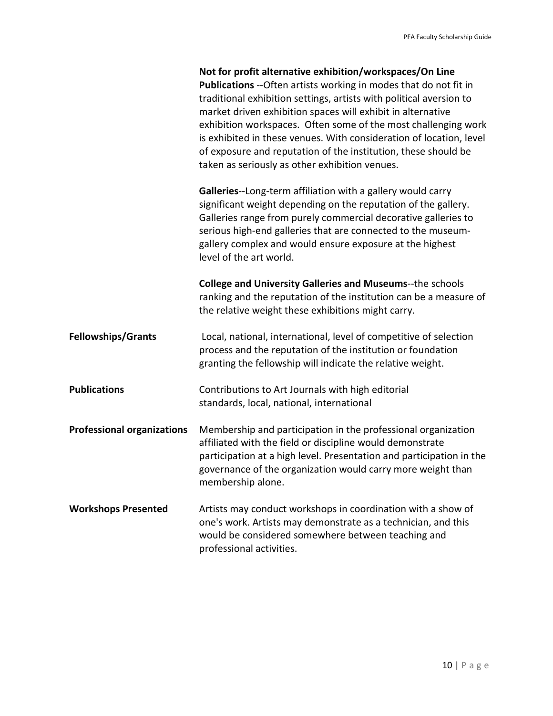|                                   | Not for profit alternative exhibition/workspaces/On Line<br>Publications -- Often artists working in modes that do not fit in<br>traditional exhibition settings, artists with political aversion to<br>market driven exhibition spaces will exhibit in alternative<br>exhibition workspaces. Often some of the most challenging work<br>is exhibited in these venues. With consideration of location, level<br>of exposure and reputation of the institution, these should be<br>taken as seriously as other exhibition venues. |
|-----------------------------------|----------------------------------------------------------------------------------------------------------------------------------------------------------------------------------------------------------------------------------------------------------------------------------------------------------------------------------------------------------------------------------------------------------------------------------------------------------------------------------------------------------------------------------|
|                                   | Galleries--Long-term affiliation with a gallery would carry<br>significant weight depending on the reputation of the gallery.<br>Galleries range from purely commercial decorative galleries to<br>serious high-end galleries that are connected to the museum-<br>gallery complex and would ensure exposure at the highest<br>level of the art world.                                                                                                                                                                           |
|                                   | <b>College and University Galleries and Museums--the schools</b><br>ranking and the reputation of the institution can be a measure of<br>the relative weight these exhibitions might carry.                                                                                                                                                                                                                                                                                                                                      |
| <b>Fellowships/Grants</b>         | Local, national, international, level of competitive of selection<br>process and the reputation of the institution or foundation<br>granting the fellowship will indicate the relative weight.                                                                                                                                                                                                                                                                                                                                   |
| <b>Publications</b>               | Contributions to Art Journals with high editorial<br>standards, local, national, international                                                                                                                                                                                                                                                                                                                                                                                                                                   |
| <b>Professional organizations</b> | Membership and participation in the professional organization<br>affiliated with the field or discipline would demonstrate<br>participation at a high level. Presentation and participation in the<br>governance of the organization would carry more weight than<br>membership alone.                                                                                                                                                                                                                                           |
| <b>Workshops Presented</b>        | Artists may conduct workshops in coordination with a show of<br>one's work. Artists may demonstrate as a technician, and this<br>would be considered somewhere between teaching and<br>professional activities.                                                                                                                                                                                                                                                                                                                  |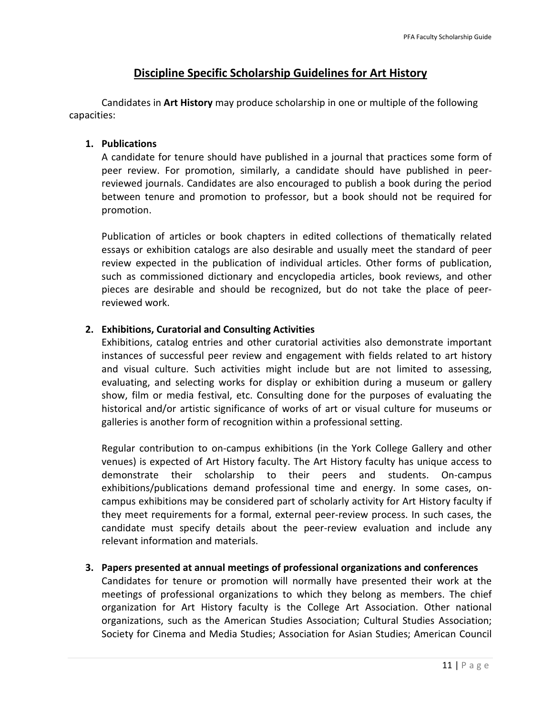# **Discipline Specific Scholarship Guidelines for Art History**

Candidates in **Art History** may produce scholarship in one or multiple of the following capacities:

#### **1. Publications**

A candidate for tenure should have published in a journal that practices some form of peer review. For promotion, similarly, a candidate should have published in peerreviewed journals. Candidates are also encouraged to publish a book during the period between tenure and promotion to professor, but a book should not be required for promotion.

Publication of articles or book chapters in edited collections of thematically related essays or exhibition catalogs are also desirable and usually meet the standard of peer review expected in the publication of individual articles. Other forms of publication, such as commissioned dictionary and encyclopedia articles, book reviews, and other pieces are desirable and should be recognized, but do not take the place of peerreviewed work.

#### **2. Exhibitions, Curatorial and Consulting Activities**

Exhibitions, catalog entries and other curatorial activities also demonstrate important instances of successful peer review and engagement with fields related to art history and visual culture. Such activities might include but are not limited to assessing, evaluating, and selecting works for display or exhibition during a museum or gallery show, film or media festival, etc. Consulting done for the purposes of evaluating the historical and/or artistic significance of works of art or visual culture for museums or galleries is another form of recognition within a professional setting.

Regular contribution to on-campus exhibitions (in the York College Gallery and other venues) is expected of Art History faculty. The Art History faculty has unique access to demonstrate their scholarship to their peers and students. On-campus exhibitions/publications demand professional time and energy. In some cases, oncampus exhibitions may be considered part of scholarly activity for Art History faculty if they meet requirements for a formal, external peer-review process. In such cases, the candidate must specify details about the peer-review evaluation and include any relevant information and materials.

#### **3. Papers presented at annual meetings of professional organizations and conferences**

Candidates for tenure or promotion will normally have presented their work at the meetings of professional organizations to which they belong as members. The chief organization for Art History faculty is the College Art Association. Other national organizations, such as the American Studies Association; Cultural Studies Association; Society for Cinema and Media Studies; Association for Asian Studies; American Council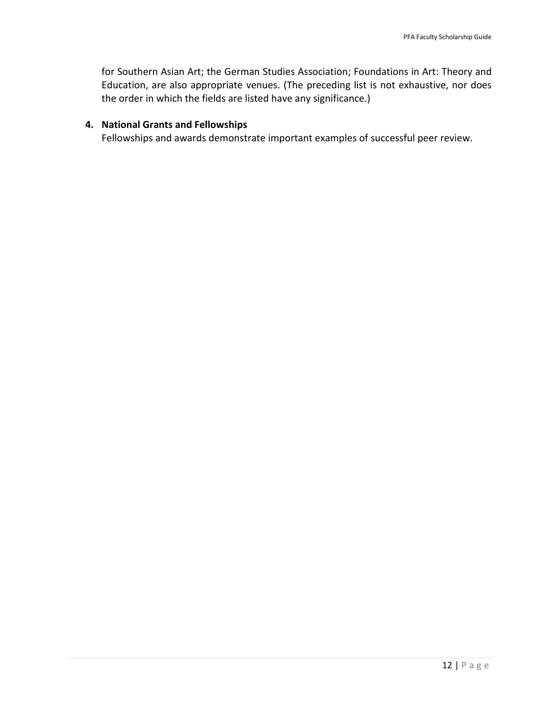for Southern Asian Art; the German Studies Association; Foundations in Art: Theory and Education, are also appropriate venues. (The preceding list is not exhaustive, nor does the order in which the fields are listed have any significance.)

## **4. National Grants and Fellowships**

Fellowships and awards demonstrate important examples of successful peer review.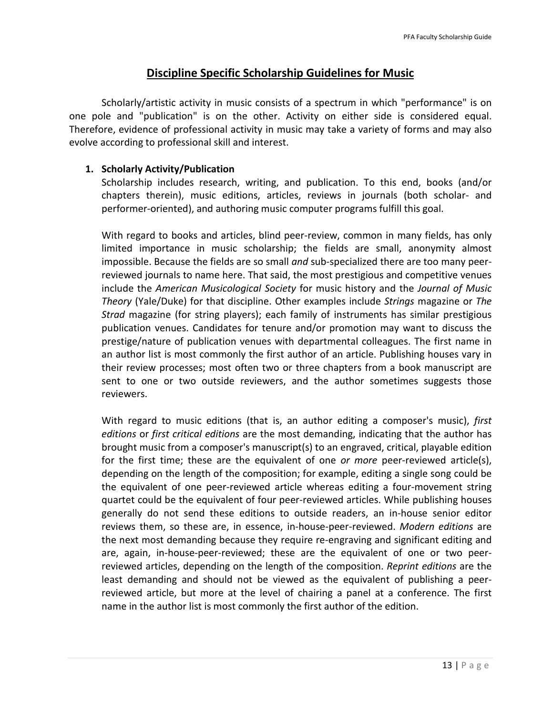## **Discipline Specific Scholarship Guidelines for Music**

Scholarly/artistic activity in music consists of a spectrum in which "performance" is on one pole and "publication" is on the other. Activity on either side is considered equal. Therefore, evidence of professional activity in music may take a variety of forms and may also evolve according to professional skill and interest.

#### **1. Scholarly Activity/Publication**

Scholarship includes research, writing, and publication. To this end, books (and/or chapters therein), music editions, articles, reviews in journals (both scholar- and performer-oriented), and authoring music computer programs fulfill this goal.

With regard to books and articles, blind peer-review, common in many fields, has only limited importance in music scholarship; the fields are small, anonymity almost impossible. Because the fields are so small *and* sub-specialized there are too many peerreviewed journals to name here. That said, the most prestigious and competitive venues include the *American Musicological Society* for music history and the *Journal of Music Theory* (Yale/Duke) for that discipline. Other examples include *Strings* magazine or *The Strad* magazine (for string players); each family of instruments has similar prestigious publication venues. Candidates for tenure and/or promotion may want to discuss the prestige/nature of publication venues with departmental colleagues. The first name in an author list is most commonly the first author of an article. Publishing houses vary in their review processes; most often two or three chapters from a book manuscript are sent to one or two outside reviewers, and the author sometimes suggests those reviewers.

With regard to music editions (that is, an author editing a composer's music), *first editions* or *first critical editions* are the most demanding, indicating that the author has brought music from a composer's manuscript(s) to an engraved, critical, playable edition for the first time; these are the equivalent of one *or more* peer-reviewed article(s), depending on the length of the composition; for example, editing a single song could be the equivalent of one peer-reviewed article whereas editing a four-movement string quartet could be the equivalent of four peer-reviewed articles. While publishing houses generally do not send these editions to outside readers, an in-house senior editor reviews them, so these are, in essence, in-house-peer-reviewed. *Modern editions* are the next most demanding because they require re-engraving and significant editing and are, again, in-house-peer-reviewed; these are the equivalent of one or two peerreviewed articles, depending on the length of the composition. *Reprint editions* are the least demanding and should not be viewed as the equivalent of publishing a peerreviewed article, but more at the level of chairing a panel at a conference. The first name in the author list is most commonly the first author of the edition.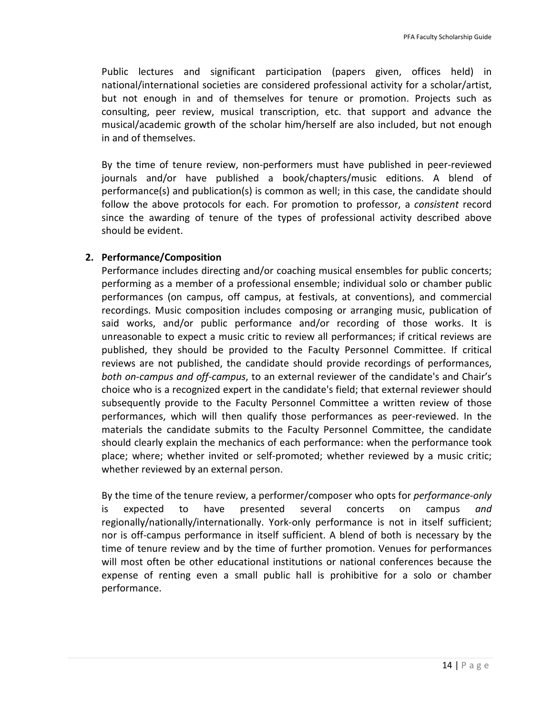Public lectures and significant participation (papers given, offices held) in national/international societies are considered professional activity for a scholar/artist, but not enough in and of themselves for tenure or promotion. Projects such as consulting, peer review, musical transcription, etc. that support and advance the musical/academic growth of the scholar him/herself are also included, but not enough in and of themselves.

By the time of tenure review, non-performers must have published in peer-reviewed journals and/or have published a book/chapters/music editions. A blend of performance(s) and publication(s) is common as well; in this case, the candidate should follow the above protocols for each. For promotion to professor, a *consistent* record since the awarding of tenure of the types of professional activity described above should be evident.

#### **2. Performance/Composition**

Performance includes directing and/or coaching musical ensembles for public concerts; performing as a member of a professional ensemble; individual solo or chamber public performances (on campus, off campus, at festivals, at conventions), and commercial recordings. Music composition includes composing or arranging music, publication of said works, and/or public performance and/or recording of those works. It is unreasonable to expect a music critic to review all performances; if critical reviews are published, they should be provided to the Faculty Personnel Committee. If critical reviews are not published, the candidate should provide recordings of performances, *both on-campus and off-campus*, to an external reviewer of the candidate's and Chair's choice who is a recognized expert in the candidate's field; that external reviewer should subsequently provide to the Faculty Personnel Committee a written review of those performances, which will then qualify those performances as peer-reviewed. In the materials the candidate submits to the Faculty Personnel Committee, the candidate should clearly explain the mechanics of each performance: when the performance took place; where; whether invited or self-promoted; whether reviewed by a music critic; whether reviewed by an external person.

By the time of the tenure review, a performer/composer who opts for *performance-only*  is expected to have presented several concerts on campus *and*  regionally/nationally/internationally. York-only performance is not in itself sufficient; nor is off-campus performance in itself sufficient. A blend of both is necessary by the time of tenure review and by the time of further promotion. Venues for performances will most often be other educational institutions or national conferences because the expense of renting even a small public hall is prohibitive for a solo or chamber performance.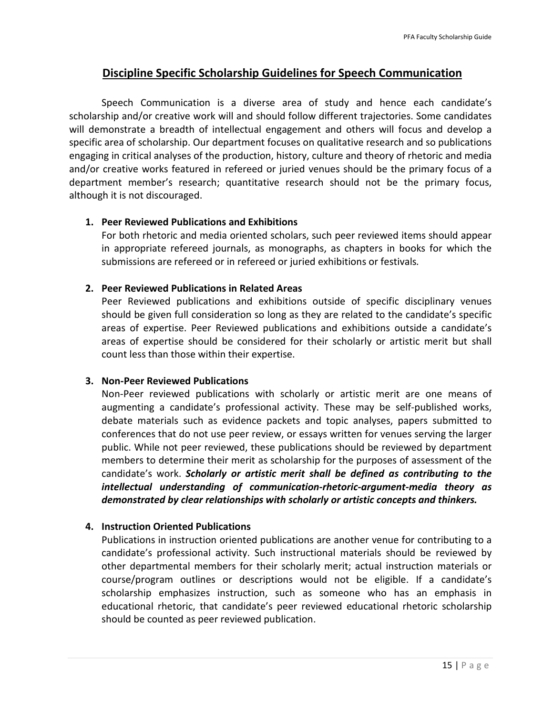# **Discipline Specific Scholarship Guidelines for Speech Communication**

Speech Communication is a diverse area of study and hence each candidate's scholarship and/or creative work will and should follow different trajectories. Some candidates will demonstrate a breadth of intellectual engagement and others will focus and develop a specific area of scholarship. Our department focuses on qualitative research and so publications engaging in critical analyses of the production, history, culture and theory of rhetoric and media and/or creative works featured in refereed or juried venues should be the primary focus of a department member's research; quantitative research should not be the primary focus, although it is not discouraged.

#### **1. Peer Reviewed Publications and Exhibitions**

For both rhetoric and media oriented scholars, such peer reviewed items should appear in appropriate refereed journals, as monographs, as chapters in books for which the submissions are refereed or in refereed or juried exhibitions or festivals*.*

#### **2. Peer Reviewed Publications in Related Areas**

Peer Reviewed publications and exhibitions outside of specific disciplinary venues should be given full consideration so long as they are related to the candidate's specific areas of expertise. Peer Reviewed publications and exhibitions outside a candidate's areas of expertise should be considered for their scholarly or artistic merit but shall count less than those within their expertise.

#### **3. Non-Peer Reviewed Publications**

Non-Peer reviewed publications with scholarly or artistic merit are one means of augmenting a candidate's professional activity. These may be self-published works, debate materials such as evidence packets and topic analyses, papers submitted to conferences that do not use peer review, or essays written for venues serving the larger public. While not peer reviewed, these publications should be reviewed by department members to determine their merit as scholarship for the purposes of assessment of the candidate's work. *Scholarly or artistic merit shall be defined as contributing to the intellectual understanding of communication-rhetoric-argument-media theory as demonstrated by clear relationships with scholarly or artistic concepts and thinkers.* 

#### **4. Instruction Oriented Publications**

Publications in instruction oriented publications are another venue for contributing to a candidate's professional activity. Such instructional materials should be reviewed by other departmental members for their scholarly merit; actual instruction materials or course/program outlines or descriptions would not be eligible. If a candidate's scholarship emphasizes instruction, such as someone who has an emphasis in educational rhetoric, that candidate's peer reviewed educational rhetoric scholarship should be counted as peer reviewed publication.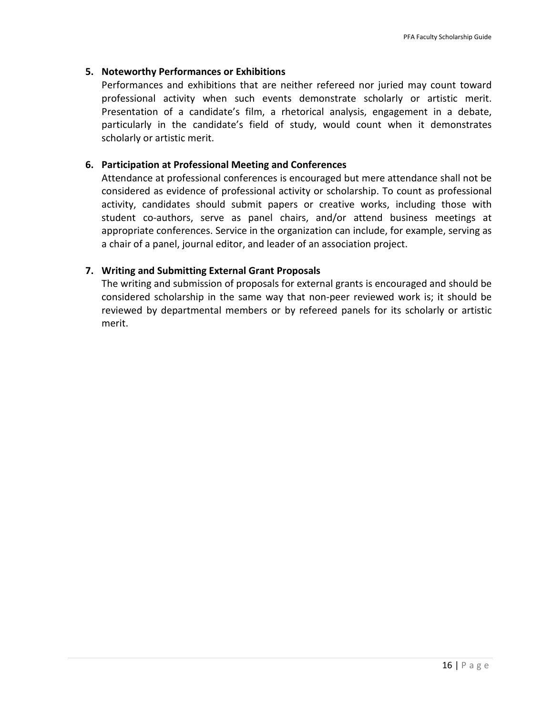#### **5. Noteworthy Performances or Exhibitions**

Performances and exhibitions that are neither refereed nor juried may count toward professional activity when such events demonstrate scholarly or artistic merit. Presentation of a candidate's film, a rhetorical analysis, engagement in a debate, particularly in the candidate's field of study, would count when it demonstrates scholarly or artistic merit.

#### **6. Participation at Professional Meeting and Conferences**

Attendance at professional conferences is encouraged but mere attendance shall not be considered as evidence of professional activity or scholarship. To count as professional activity, candidates should submit papers or creative works, including those with student co-authors, serve as panel chairs, and/or attend business meetings at appropriate conferences. Service in the organization can include, for example, serving as a chair of a panel, journal editor, and leader of an association project.

#### **7. Writing and Submitting External Grant Proposals**

The writing and submission of proposals for external grants is encouraged and should be considered scholarship in the same way that non-peer reviewed work is; it should be reviewed by departmental members or by refereed panels for its scholarly or artistic merit.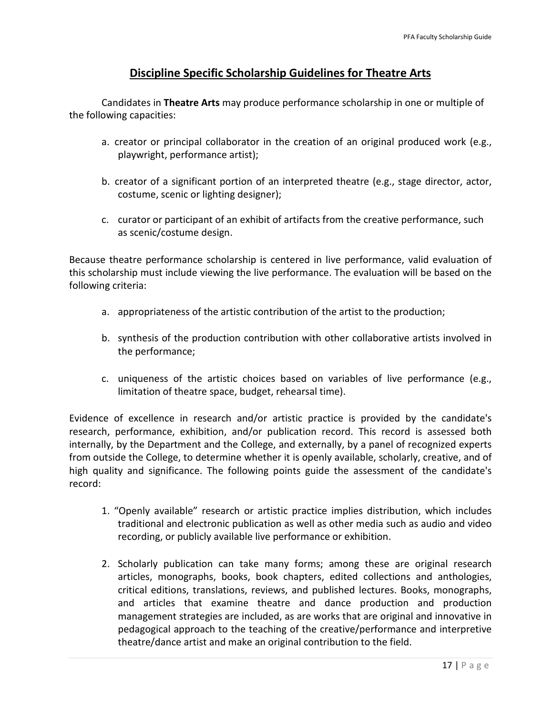# **Discipline Specific Scholarship Guidelines for Theatre Arts**

Candidates in **Theatre Arts** may produce performance scholarship in one or multiple of the following capacities:

- a. creator or principal collaborator in the creation of an original produced work (e.g., playwright, performance artist);
- b. creator of a significant portion of an interpreted theatre (e.g., stage director, actor, costume, scenic or lighting designer);
- c. curator or participant of an exhibit of artifacts from the creative performance, such as scenic/costume design.

Because theatre performance scholarship is centered in live performance, valid evaluation of this scholarship must include viewing the live performance. The evaluation will be based on the following criteria:

- a. appropriateness of the artistic contribution of the artist to the production;
- b. synthesis of the production contribution with other collaborative artists involved in the performance;
- c. uniqueness of the artistic choices based on variables of live performance (e.g., limitation of theatre space, budget, rehearsal time).

Evidence of excellence in research and/or artistic practice is provided by the candidate's research, performance, exhibition, and/or publication record. This record is assessed both internally, by the Department and the College, and externally, by a panel of recognized experts from outside the College, to determine whether it is openly available, scholarly, creative, and of high quality and significance. The following points guide the assessment of the candidate's record:

- 1. "Openly available" research or artistic practice implies distribution, which includes traditional and electronic publication as well as other media such as audio and video recording, or publicly available live performance or exhibition.
- 2. Scholarly publication can take many forms; among these are original research articles, monographs, books, book chapters, edited collections and anthologies, critical editions, translations, reviews, and published lectures. Books, monographs, and articles that examine theatre and dance production and production management strategies are included, as are works that are original and innovative in pedagogical approach to the teaching of the creative/performance and interpretive theatre/dance artist and make an original contribution to the field.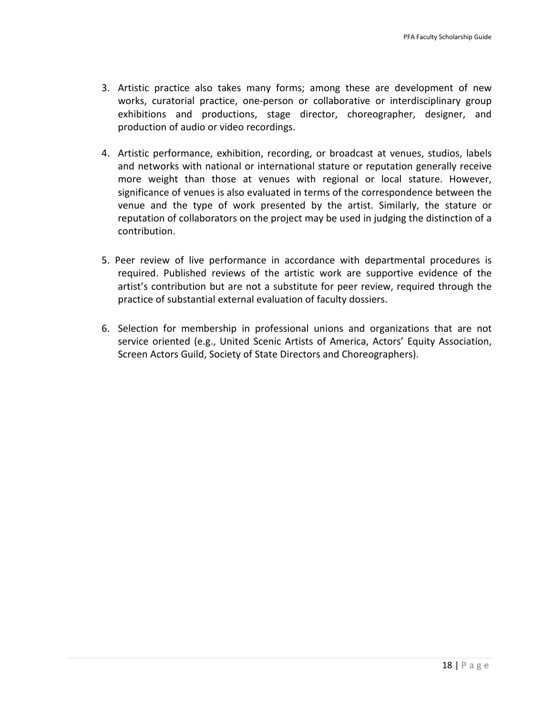- 3. Artistic practice also takes many forms; among these are development of new works, curatorial practice, one-person or collaborative or interdisciplinary group exhibitions and productions, stage director, choreographer, designer, and production of audio or video recordings.
- 4. Artistic performance, exhibition, recording, or broadcast at venues, studios, labels and networks with national or international stature or reputation generally receive more weight than those at venues with regional or local stature. However, significance of venues is also evaluated in terms of the correspondence between the venue and the type of work presented by the artist. Similarly, the stature or reputation of collaborators on the project may be used in judging the distinction of a contribution.
- 5. Peer review of live performance in accordance with departmental procedures is required. Published reviews of the artistic work are supportive evidence of the artist's contribution but are not a substitute for peer review, required through the practice of substantial external evaluation of faculty dossiers.
- 6. Selection for membership in professional unions and organizations that are not service oriented (e.g., United Scenic Artists of America, Actors' Equity Association, Screen Actors Guild, Society of State Directors and Choreographers).